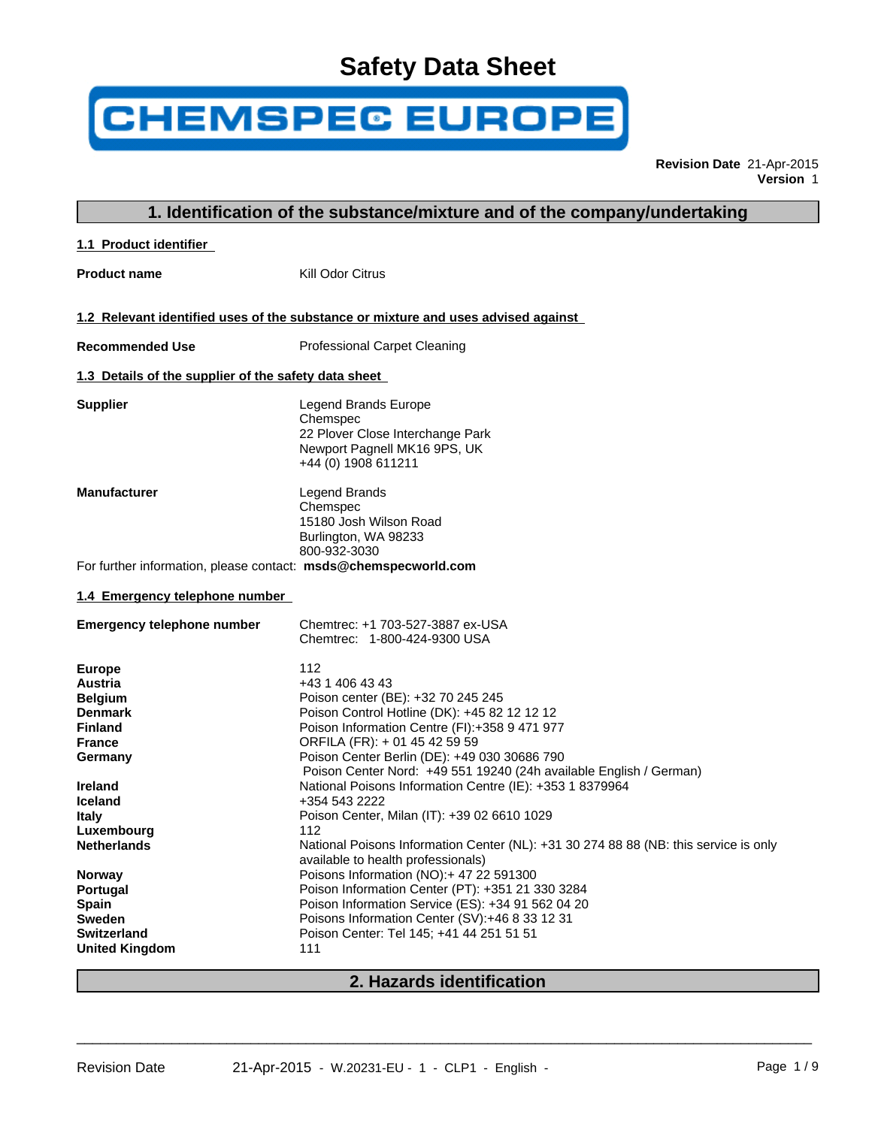# **Safety Data Sheet**

# **CHEMSPEC EUROPE**

**Revision Date** 21-Apr-2015 **Version** 1

| 1.1 Product identifier<br>Kill Odor Citrus<br><b>Product name</b><br>1.2 Relevant identified uses of the substance or mixture and uses advised against<br><b>Recommended Use</b><br><b>Professional Carpet Cleaning</b><br>1.3 Details of the supplier of the safety data sheet<br>Legend Brands Europe<br><b>Supplier</b><br>Chemspec<br>22 Plover Close Interchange Park<br>Newport Pagnell MK16 9PS, UK<br>+44 (0) 1908 611211<br><b>Manufacturer</b><br>Legend Brands<br>Chemspec<br>15180 Josh Wilson Road<br>Burlington, WA 98233<br>800-932-3030<br>For further information, please contact: msds@chemspecworld.com<br>1.4 Emergency telephone number<br>Chemtrec: +1 703-527-3887 ex-USA<br><b>Emergency telephone number</b><br>Chemtrec: 1-800-424-9300 USA<br>112<br><b>Europe</b><br>+43 1 406 43 43<br>Austria<br>Poison center (BE): +32 70 245 245<br><b>Belgium</b><br>Poison Control Hotline (DK): +45 82 12 12 12<br><b>Denmark</b><br>Poison Information Centre (FI):+358 9 471 977<br><b>Finland</b><br>ORFILA (FR): + 01 45 42 59 59<br><b>France</b><br>Poison Center Berlin (DE): +49 030 30686 790<br>Germany<br>Poison Center Nord: +49 551 19240 (24h available English / German)<br>National Poisons Information Centre (IE): +353 1 8379964<br>Ireland<br>+354 543 2222<br><b>Iceland</b><br>Poison Center, Milan (IT): +39 02 6610 1029<br><b>Italy</b><br>112<br>Luxembourg<br><b>Netherlands</b><br>National Poisons Information Center (NL): +31 30 274 88 88 (NB: this service is only<br>available to health professionals)<br>Poisons Information (NO):+ 47 22 591300<br><b>Norway</b><br>Poison Information Center (PT): +351 21 330 3284<br>Portugal<br>Poison Information Service (ES): +34 91 562 04 20<br><b>Spain</b><br>Poisons Information Center (SV):+46 8 33 12 31<br>Sweden<br>Poison Center: Tel 145; +41 44 251 51 51<br><b>Switzerland</b><br>111<br><b>United Kingdom</b> | 1. Identification of the substance/mixture and of the company/undertaking |
|------------------------------------------------------------------------------------------------------------------------------------------------------------------------------------------------------------------------------------------------------------------------------------------------------------------------------------------------------------------------------------------------------------------------------------------------------------------------------------------------------------------------------------------------------------------------------------------------------------------------------------------------------------------------------------------------------------------------------------------------------------------------------------------------------------------------------------------------------------------------------------------------------------------------------------------------------------------------------------------------------------------------------------------------------------------------------------------------------------------------------------------------------------------------------------------------------------------------------------------------------------------------------------------------------------------------------------------------------------------------------------------------------------------------------------------------------------------------------------------------------------------------------------------------------------------------------------------------------------------------------------------------------------------------------------------------------------------------------------------------------------------------------------------------------------------------------------------------------------------------------------------------------------------------------|---------------------------------------------------------------------------|
|                                                                                                                                                                                                                                                                                                                                                                                                                                                                                                                                                                                                                                                                                                                                                                                                                                                                                                                                                                                                                                                                                                                                                                                                                                                                                                                                                                                                                                                                                                                                                                                                                                                                                                                                                                                                                                                                                                                              |                                                                           |
|                                                                                                                                                                                                                                                                                                                                                                                                                                                                                                                                                                                                                                                                                                                                                                                                                                                                                                                                                                                                                                                                                                                                                                                                                                                                                                                                                                                                                                                                                                                                                                                                                                                                                                                                                                                                                                                                                                                              |                                                                           |
|                                                                                                                                                                                                                                                                                                                                                                                                                                                                                                                                                                                                                                                                                                                                                                                                                                                                                                                                                                                                                                                                                                                                                                                                                                                                                                                                                                                                                                                                                                                                                                                                                                                                                                                                                                                                                                                                                                                              |                                                                           |
|                                                                                                                                                                                                                                                                                                                                                                                                                                                                                                                                                                                                                                                                                                                                                                                                                                                                                                                                                                                                                                                                                                                                                                                                                                                                                                                                                                                                                                                                                                                                                                                                                                                                                                                                                                                                                                                                                                                              |                                                                           |
|                                                                                                                                                                                                                                                                                                                                                                                                                                                                                                                                                                                                                                                                                                                                                                                                                                                                                                                                                                                                                                                                                                                                                                                                                                                                                                                                                                                                                                                                                                                                                                                                                                                                                                                                                                                                                                                                                                                              |                                                                           |
|                                                                                                                                                                                                                                                                                                                                                                                                                                                                                                                                                                                                                                                                                                                                                                                                                                                                                                                                                                                                                                                                                                                                                                                                                                                                                                                                                                                                                                                                                                                                                                                                                                                                                                                                                                                                                                                                                                                              |                                                                           |
|                                                                                                                                                                                                                                                                                                                                                                                                                                                                                                                                                                                                                                                                                                                                                                                                                                                                                                                                                                                                                                                                                                                                                                                                                                                                                                                                                                                                                                                                                                                                                                                                                                                                                                                                                                                                                                                                                                                              |                                                                           |
|                                                                                                                                                                                                                                                                                                                                                                                                                                                                                                                                                                                                                                                                                                                                                                                                                                                                                                                                                                                                                                                                                                                                                                                                                                                                                                                                                                                                                                                                                                                                                                                                                                                                                                                                                                                                                                                                                                                              |                                                                           |
|                                                                                                                                                                                                                                                                                                                                                                                                                                                                                                                                                                                                                                                                                                                                                                                                                                                                                                                                                                                                                                                                                                                                                                                                                                                                                                                                                                                                                                                                                                                                                                                                                                                                                                                                                                                                                                                                                                                              |                                                                           |
|                                                                                                                                                                                                                                                                                                                                                                                                                                                                                                                                                                                                                                                                                                                                                                                                                                                                                                                                                                                                                                                                                                                                                                                                                                                                                                                                                                                                                                                                                                                                                                                                                                                                                                                                                                                                                                                                                                                              |                                                                           |
|                                                                                                                                                                                                                                                                                                                                                                                                                                                                                                                                                                                                                                                                                                                                                                                                                                                                                                                                                                                                                                                                                                                                                                                                                                                                                                                                                                                                                                                                                                                                                                                                                                                                                                                                                                                                                                                                                                                              |                                                                           |
|                                                                                                                                                                                                                                                                                                                                                                                                                                                                                                                                                                                                                                                                                                                                                                                                                                                                                                                                                                                                                                                                                                                                                                                                                                                                                                                                                                                                                                                                                                                                                                                                                                                                                                                                                                                                                                                                                                                              |                                                                           |
|                                                                                                                                                                                                                                                                                                                                                                                                                                                                                                                                                                                                                                                                                                                                                                                                                                                                                                                                                                                                                                                                                                                                                                                                                                                                                                                                                                                                                                                                                                                                                                                                                                                                                                                                                                                                                                                                                                                              |                                                                           |

# **2. Hazards identification**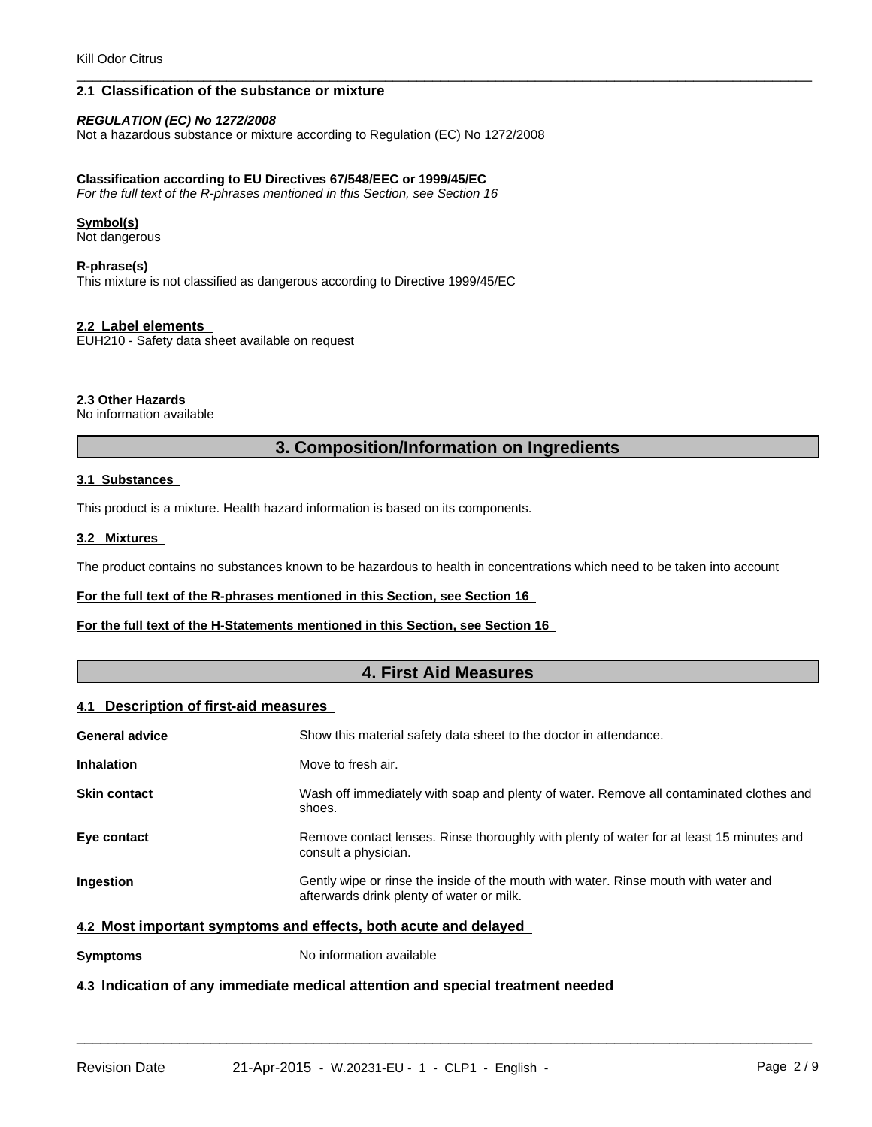#### **2.1 Classification of the substance or mixture**

#### *REGULATION (EC) No 1272/2008*

Not a hazardous substance or mixture according to Regulation (EC) No 1272/2008

#### **Classification according to EU Directives 67/548/EEC or 1999/45/EC**

*For the full text of the R-phrases mentioned in this Section, see Section 16*

#### **Symbol(s)**

Not dangerous

#### **R-phrase(s)**

This mixture is not classified as dangerous according to Directive 1999/45/EC

#### **2.2 Label elements**

EUH210 - Safety data sheet available on request

#### **2.3 Other Hazards**

No information available

#### **3. Composition/Information on Ingredients**

 $\overline{\phantom{a}}$  ,  $\overline{\phantom{a}}$  ,  $\overline{\phantom{a}}$  ,  $\overline{\phantom{a}}$  ,  $\overline{\phantom{a}}$  ,  $\overline{\phantom{a}}$  ,  $\overline{\phantom{a}}$  ,  $\overline{\phantom{a}}$  ,  $\overline{\phantom{a}}$  ,  $\overline{\phantom{a}}$  ,  $\overline{\phantom{a}}$  ,  $\overline{\phantom{a}}$  ,  $\overline{\phantom{a}}$  ,  $\overline{\phantom{a}}$  ,  $\overline{\phantom{a}}$  ,  $\overline{\phantom{a}}$ 

#### **3.1 Substances**

This product is a mixture. Health hazard information is based on its components.

#### **3.2 Mixtures**

The product contains no substances known to be hazardous to health in concentrations which need to be taken into account

#### **For the full text of the R-phrases mentioned in this Section, see Section 16**

#### **For the full text of the H-Statements mentioned in this Section, see Section 16**

#### **4. First Aid Measures**

#### **4.1 Description of first-aid measures**

| <b>General advice</b>                                           | Show this material safety data sheet to the doctor in attendance.                                                                |  |
|-----------------------------------------------------------------|----------------------------------------------------------------------------------------------------------------------------------|--|
| <b>Inhalation</b>                                               | Move to fresh air.                                                                                                               |  |
| <b>Skin contact</b>                                             | Wash off immediately with soap and plenty of water. Remove all contaminated clothes and<br>shoes.                                |  |
| Eye contact                                                     | Remove contact lenses. Rinse thoroughly with plenty of water for at least 15 minutes and<br>consult a physician.                 |  |
| <b>Ingestion</b>                                                | Gently wipe or rinse the inside of the mouth with water. Rinse mouth with water and<br>afterwards drink plenty of water or milk. |  |
| 4.2 Most important symptoms and effects, both acute and delayed |                                                                                                                                  |  |
| <b>Symptoms</b>                                                 | No information available                                                                                                         |  |
|                                                                 |                                                                                                                                  |  |

 $\overline{\phantom{a}}$  ,  $\overline{\phantom{a}}$  ,  $\overline{\phantom{a}}$  ,  $\overline{\phantom{a}}$  ,  $\overline{\phantom{a}}$  ,  $\overline{\phantom{a}}$  ,  $\overline{\phantom{a}}$  ,  $\overline{\phantom{a}}$  ,  $\overline{\phantom{a}}$  ,  $\overline{\phantom{a}}$  ,  $\overline{\phantom{a}}$  ,  $\overline{\phantom{a}}$  ,  $\overline{\phantom{a}}$  ,  $\overline{\phantom{a}}$  ,  $\overline{\phantom{a}}$  ,  $\overline{\phantom{a}}$ 

### **4.3 Indication of any immediate medical attention and special treatment needed**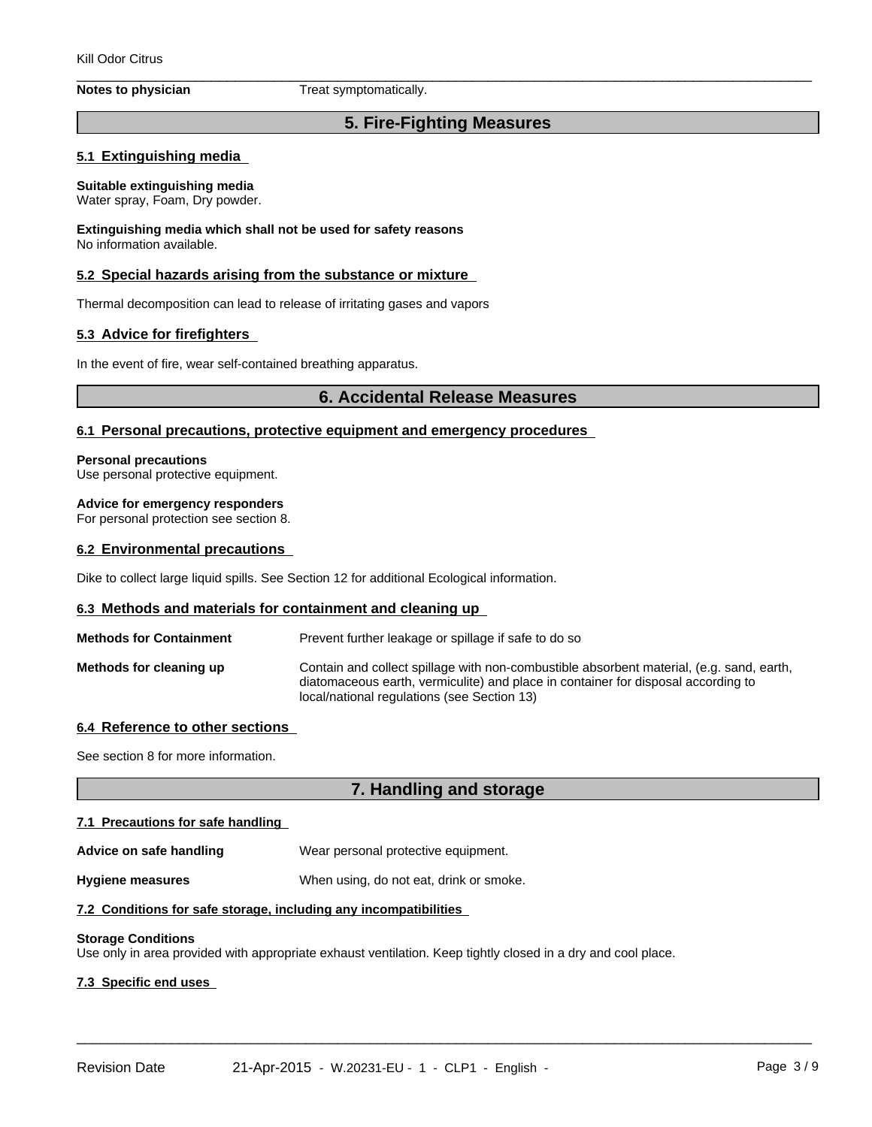**Notes to physician** Treat symptomatically.

# **5. Fire-Fighting Measures**

 $\overline{\phantom{a}}$  ,  $\overline{\phantom{a}}$  ,  $\overline{\phantom{a}}$  ,  $\overline{\phantom{a}}$  ,  $\overline{\phantom{a}}$  ,  $\overline{\phantom{a}}$  ,  $\overline{\phantom{a}}$  ,  $\overline{\phantom{a}}$  ,  $\overline{\phantom{a}}$  ,  $\overline{\phantom{a}}$  ,  $\overline{\phantom{a}}$  ,  $\overline{\phantom{a}}$  ,  $\overline{\phantom{a}}$  ,  $\overline{\phantom{a}}$  ,  $\overline{\phantom{a}}$  ,  $\overline{\phantom{a}}$ 

#### **5.1 Extinguishing media**

#### **Suitable extinguishing media**

Water spray, Foam, Dry powder.

**Extinguishing media which shall not be used for safety reasons** No information available.

#### **5.2 Special hazards arising from the substance or mixture**

Thermal decomposition can lead to release of irritating gases and vapors

#### **5.3 Advice for firefighters**

In the event of fire, wear self-contained breathing apparatus.

#### **6. Accidental Release Measures**

#### **6.1 Personal precautions, protective equipment and emergency procedures**

#### **Personal precautions**

Use personal protective equipment.

#### **Advice for emergency responders**

For personal protection see section 8.

#### **6.2 Environmental precautions**

Dike to collect large liquid spills. See Section 12 for additional Ecological information.

#### **6.3 Methods and materials for containment and cleaning up**

| <b>Methods for Containment</b> | Prevent further leakage or spillage if safe to do so                                                                                                                                                                         |
|--------------------------------|------------------------------------------------------------------------------------------------------------------------------------------------------------------------------------------------------------------------------|
| Methods for cleaning up        | Contain and collect spillage with non-combustible absorbent material, (e.g. sand, earth,<br>diatomaceous earth, vermiculite) and place in container for disposal according to<br>local/national regulations (see Section 13) |

#### **6.4 Reference to other sections**

See section 8 for more information.

# **7. Handling and storage**

 $\overline{\phantom{a}}$  ,  $\overline{\phantom{a}}$  ,  $\overline{\phantom{a}}$  ,  $\overline{\phantom{a}}$  ,  $\overline{\phantom{a}}$  ,  $\overline{\phantom{a}}$  ,  $\overline{\phantom{a}}$  ,  $\overline{\phantom{a}}$  ,  $\overline{\phantom{a}}$  ,  $\overline{\phantom{a}}$  ,  $\overline{\phantom{a}}$  ,  $\overline{\phantom{a}}$  ,  $\overline{\phantom{a}}$  ,  $\overline{\phantom{a}}$  ,  $\overline{\phantom{a}}$  ,  $\overline{\phantom{a}}$ 

#### **7.1 Precautions for safe handling**

Advice on safe handling **Wear personal protective equipment.** 

**Hygiene measures** When using, do not eat, drink or smoke.

#### **7.2 Conditions for safe storage, including any incompatibilities**

#### **Storage Conditions**

Use only in area provided with appropriate exhaust ventilation. Keep tightly closed in a dry and cool place.

#### **7.3 Specific end uses**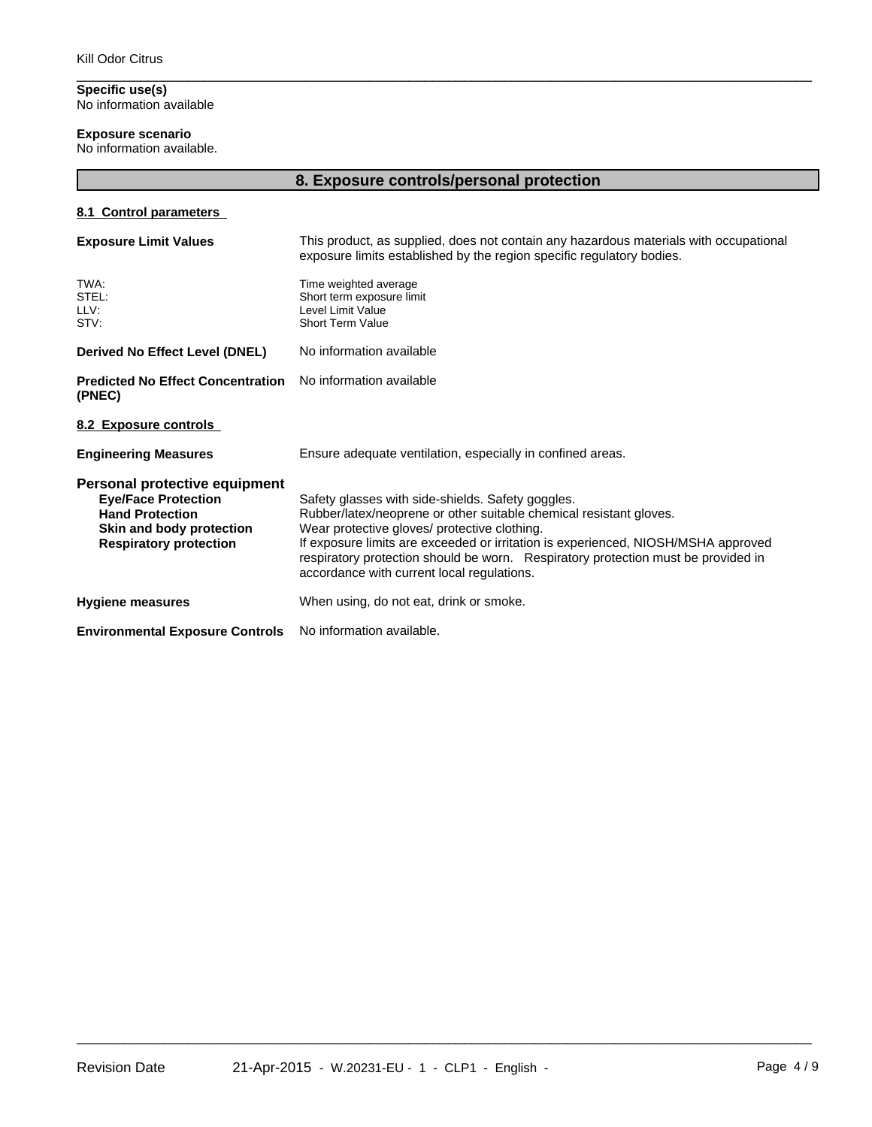**Specific use(s)** No information available

# **Exposure scenario**

No information available.

|                                                                                                                                                    | 8. Exposure controls/personal protection                                                                                                                                                                                                                                                                                                                                                        |
|----------------------------------------------------------------------------------------------------------------------------------------------------|-------------------------------------------------------------------------------------------------------------------------------------------------------------------------------------------------------------------------------------------------------------------------------------------------------------------------------------------------------------------------------------------------|
| 8.1 Control parameters                                                                                                                             |                                                                                                                                                                                                                                                                                                                                                                                                 |
| <b>Exposure Limit Values</b>                                                                                                                       | This product, as supplied, does not contain any hazardous materials with occupational<br>exposure limits established by the region specific regulatory bodies.                                                                                                                                                                                                                                  |
| TWA:<br>STEL:<br>LLV:<br>STV:                                                                                                                      | Time weighted average<br>Short term exposure limit<br>Level Limit Value<br><b>Short Term Value</b>                                                                                                                                                                                                                                                                                              |
| <b>Derived No Effect Level (DNEL)</b>                                                                                                              | No information available                                                                                                                                                                                                                                                                                                                                                                        |
| <b>Predicted No Effect Concentration</b><br>(PNEC)                                                                                                 | No information available                                                                                                                                                                                                                                                                                                                                                                        |
| 8.2 Exposure controls                                                                                                                              |                                                                                                                                                                                                                                                                                                                                                                                                 |
| <b>Engineering Measures</b>                                                                                                                        | Ensure adequate ventilation, especially in confined areas.                                                                                                                                                                                                                                                                                                                                      |
| Personal protective equipment<br><b>Eye/Face Protection</b><br><b>Hand Protection</b><br>Skin and body protection<br><b>Respiratory protection</b> | Safety glasses with side-shields. Safety goggles.<br>Rubber/latex/neoprene or other suitable chemical resistant gloves.<br>Wear protective gloves/ protective clothing.<br>If exposure limits are exceeded or irritation is experienced, NIOSH/MSHA approved<br>respiratory protection should be worn. Respiratory protection must be provided in<br>accordance with current local regulations. |
| <b>Hygiene measures</b>                                                                                                                            | When using, do not eat, drink or smoke.                                                                                                                                                                                                                                                                                                                                                         |
| <b>Environmental Exposure Controls</b>                                                                                                             | No information available.                                                                                                                                                                                                                                                                                                                                                                       |

 $\overline{\phantom{a}}$  ,  $\overline{\phantom{a}}$  ,  $\overline{\phantom{a}}$  ,  $\overline{\phantom{a}}$  ,  $\overline{\phantom{a}}$  ,  $\overline{\phantom{a}}$  ,  $\overline{\phantom{a}}$  ,  $\overline{\phantom{a}}$  ,  $\overline{\phantom{a}}$  ,  $\overline{\phantom{a}}$  ,  $\overline{\phantom{a}}$  ,  $\overline{\phantom{a}}$  ,  $\overline{\phantom{a}}$  ,  $\overline{\phantom{a}}$  ,  $\overline{\phantom{a}}$  ,  $\overline{\phantom{a}}$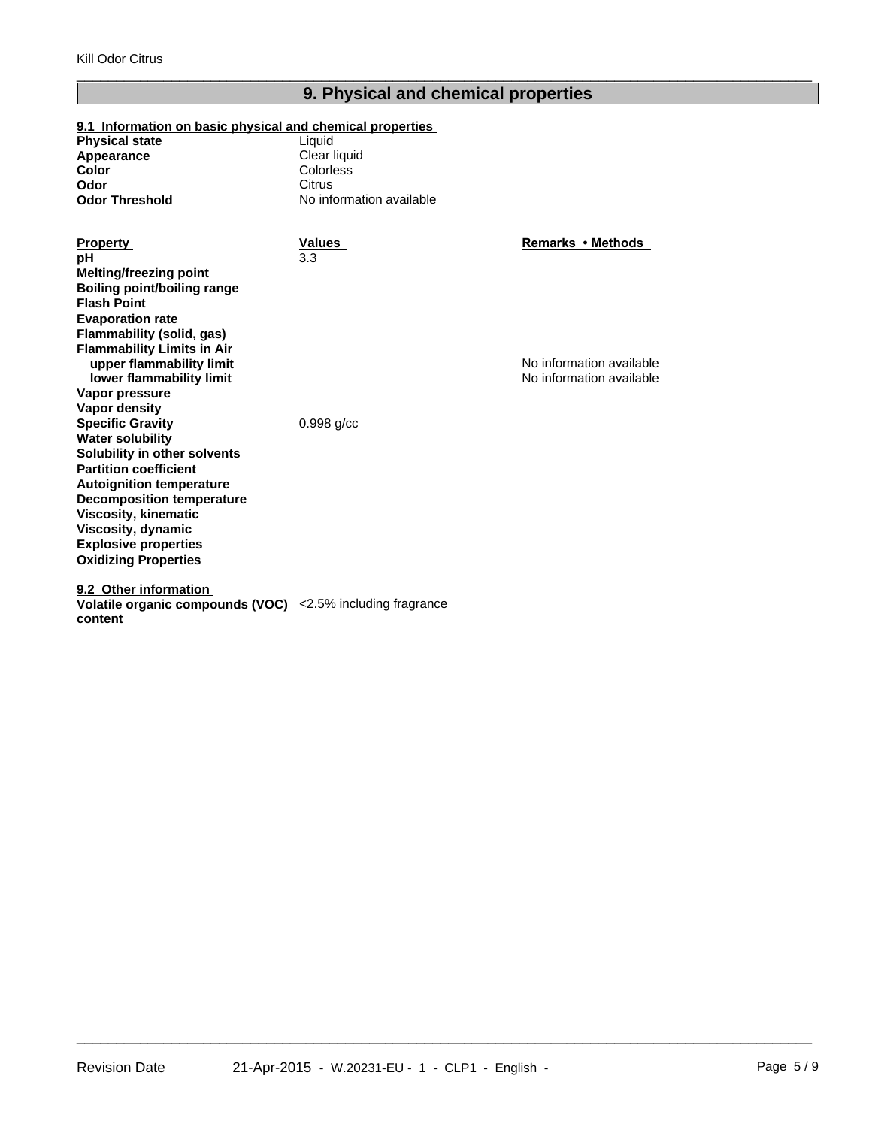# **9. Physical and chemical properties**

 $\overline{\phantom{a}}$  ,  $\overline{\phantom{a}}$  ,  $\overline{\phantom{a}}$  ,  $\overline{\phantom{a}}$  ,  $\overline{\phantom{a}}$  ,  $\overline{\phantom{a}}$  ,  $\overline{\phantom{a}}$  ,  $\overline{\phantom{a}}$  ,  $\overline{\phantom{a}}$  ,  $\overline{\phantom{a}}$  ,  $\overline{\phantom{a}}$  ,  $\overline{\phantom{a}}$  ,  $\overline{\phantom{a}}$  ,  $\overline{\phantom{a}}$  ,  $\overline{\phantom{a}}$  ,  $\overline{\phantom{a}}$ 

#### **9.1 Information on basic physical and chemical properties**

| Liauid                   |
|--------------------------|
| Clear liquid             |
| Colorless                |
| Citrus                   |
| No information available |
|                          |

3.3 **Vapor pressure Vapor density Melting/freezing point Specific Gravity** 0.998 g/cc **Water solubility Solubility in other solvents Boiling point/boiling range Partition coefficient Autoignition temperature Decomposition temperature Flash Point Viscosity, kinematic Viscosity, dynamic Evaporation rate Explosive properties Oxidizing Properties Flammability (solid, gas) Property Values Flammability Limits in Air upper flammability limit pH lower flammability limit**

**9.2 Other information** 

**content**

**Remarks•Methods**

No information available No information available

**Volatile organic compounds (VOC)** <2.5% including fragrance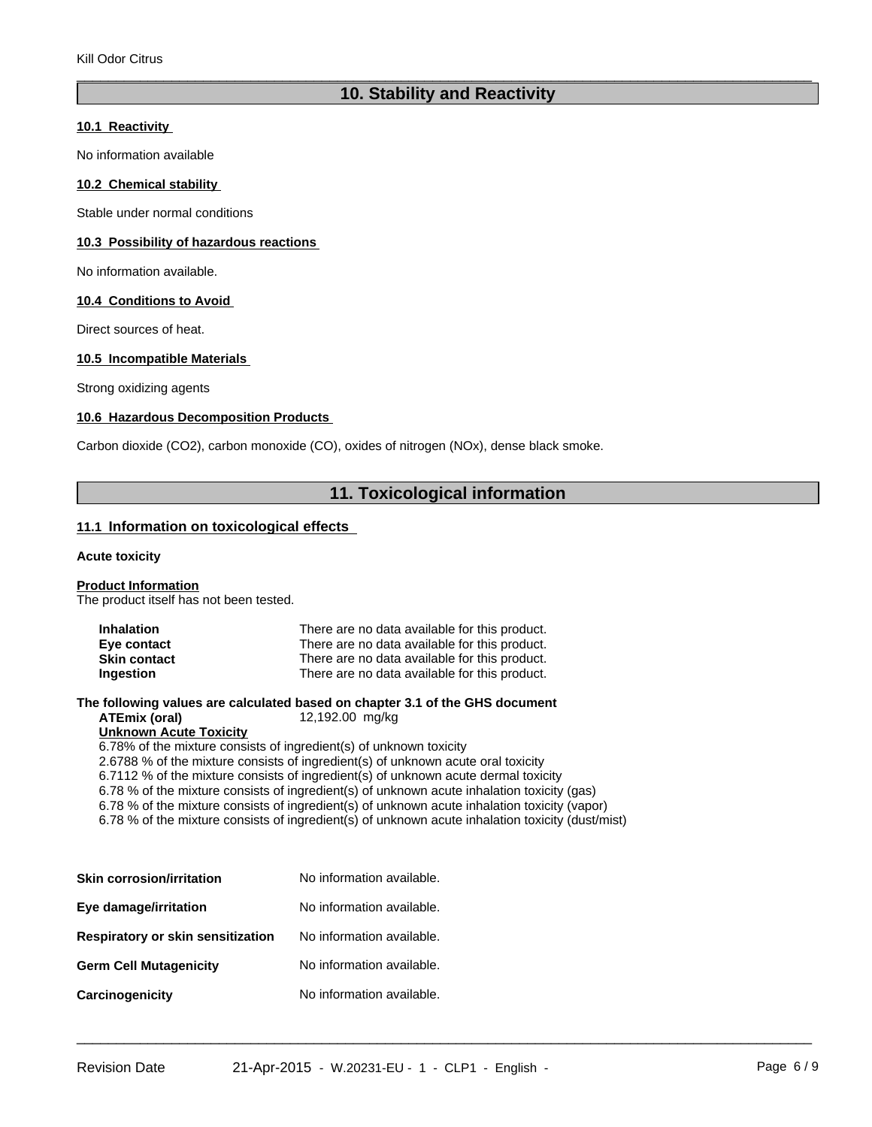# **10. Stability and Reactivity**

 $\overline{\phantom{a}}$  ,  $\overline{\phantom{a}}$  ,  $\overline{\phantom{a}}$  ,  $\overline{\phantom{a}}$  ,  $\overline{\phantom{a}}$  ,  $\overline{\phantom{a}}$  ,  $\overline{\phantom{a}}$  ,  $\overline{\phantom{a}}$  ,  $\overline{\phantom{a}}$  ,  $\overline{\phantom{a}}$  ,  $\overline{\phantom{a}}$  ,  $\overline{\phantom{a}}$  ,  $\overline{\phantom{a}}$  ,  $\overline{\phantom{a}}$  ,  $\overline{\phantom{a}}$  ,  $\overline{\phantom{a}}$ 

#### **10.1 Reactivity**

No information available

#### **10.2 Chemical stability**

Stable under normal conditions

#### **10.3 Possibility of hazardous reactions**

No information available.

#### **10.4 Conditions to Avoid**

Direct sources of heat.

#### **10.5 Incompatible Materials**

Strong oxidizing agents

#### **10.6 Hazardous Decomposition Products**

Carbon dioxide (CO2), carbon monoxide (CO), oxides of nitrogen (NOx), dense black smoke.

# **11. Toxicological information**

 $\overline{\phantom{a}}$  ,  $\overline{\phantom{a}}$  ,  $\overline{\phantom{a}}$  ,  $\overline{\phantom{a}}$  ,  $\overline{\phantom{a}}$  ,  $\overline{\phantom{a}}$  ,  $\overline{\phantom{a}}$  ,  $\overline{\phantom{a}}$  ,  $\overline{\phantom{a}}$  ,  $\overline{\phantom{a}}$  ,  $\overline{\phantom{a}}$  ,  $\overline{\phantom{a}}$  ,  $\overline{\phantom{a}}$  ,  $\overline{\phantom{a}}$  ,  $\overline{\phantom{a}}$  ,  $\overline{\phantom{a}}$ 

#### **11.1 Information on toxicological effects**

#### **Acute toxicity**

#### **Product Information**

The product itself has not been tested.

| <b>Inhalation</b>   | There are no data available for this product. |
|---------------------|-----------------------------------------------|
| Eye contact         | There are no data available for this product. |
| <b>Skin contact</b> | There are no data available for this product. |
| Ingestion           | There are no data available for this product. |

**The following values are calculated based on chapter 3.1 of the GHS document**

**ATEmix (oral)** 12,192.00 mg/kg

#### **Unknown Acute Toxicity**

6.78% of the mixture consists of ingredient(s) of unknown toxicity

2.6788 % of the mixture consists of ingredient(s) of unknown acute oral toxicity

6.7112 % of the mixture consists of ingredient(s) of unknown acute dermal toxicity

6.78 % of the mixture consists of ingredient(s) of unknown acute inhalation toxicity (gas)

6.78 % of the mixture consists of ingredient(s) of unknown acute inhalation toxicity (vapor)

6.78 % of the mixture consists of ingredient(s) of unknown acute inhalation toxicity (dust/mist)

| <b>Skin corrosion/irritation</b>  | No information available. |
|-----------------------------------|---------------------------|
| Eye damage/irritation             | No information available. |
| Respiratory or skin sensitization | No information available. |
| <b>Germ Cell Mutagenicity</b>     | No information available. |
| Carcinogenicity                   | No information available. |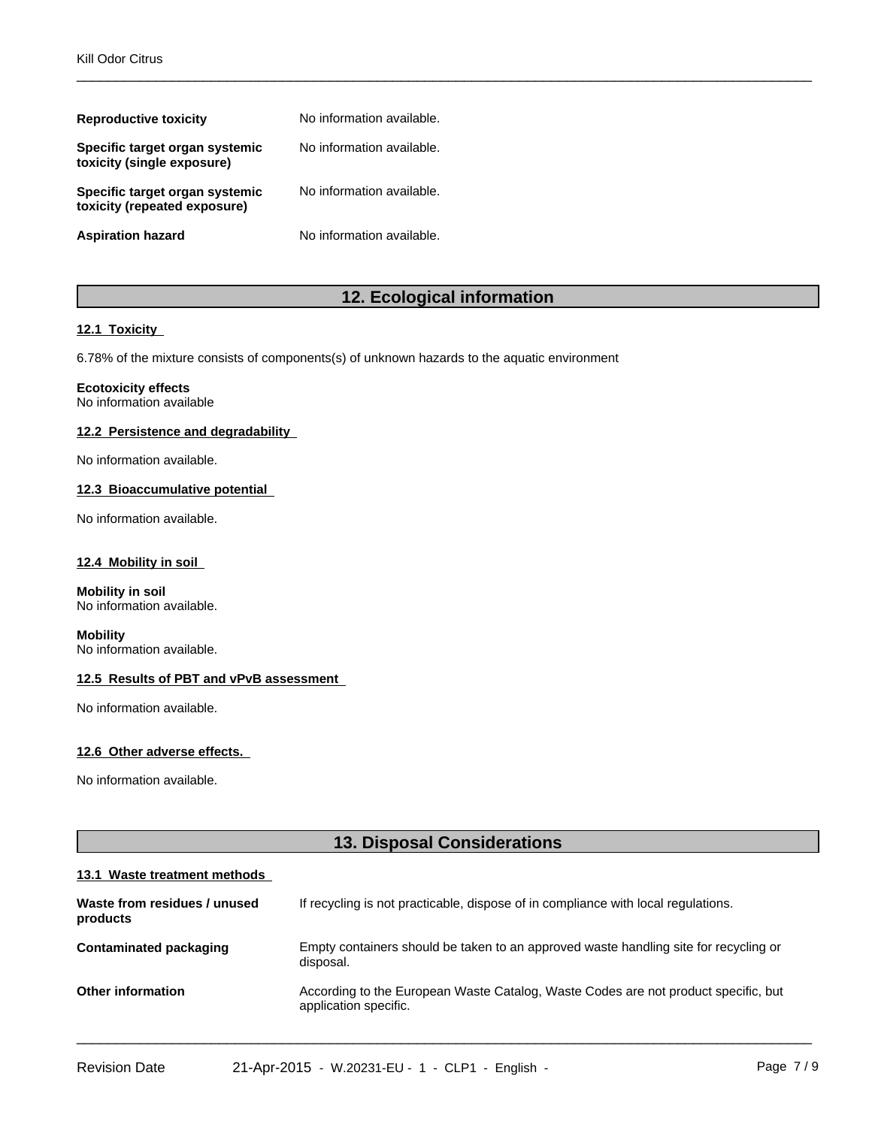| <b>Reproductive toxicity</b>                                   | No information available. |
|----------------------------------------------------------------|---------------------------|
| Specific target organ systemic<br>toxicity (single exposure)   | No information available. |
| Specific target organ systemic<br>toxicity (repeated exposure) | No information available. |
| <b>Aspiration hazard</b>                                       | No information available. |

# **12. Ecological information**

 $\overline{\phantom{a}}$  ,  $\overline{\phantom{a}}$  ,  $\overline{\phantom{a}}$  ,  $\overline{\phantom{a}}$  ,  $\overline{\phantom{a}}$  ,  $\overline{\phantom{a}}$  ,  $\overline{\phantom{a}}$  ,  $\overline{\phantom{a}}$  ,  $\overline{\phantom{a}}$  ,  $\overline{\phantom{a}}$  ,  $\overline{\phantom{a}}$  ,  $\overline{\phantom{a}}$  ,  $\overline{\phantom{a}}$  ,  $\overline{\phantom{a}}$  ,  $\overline{\phantom{a}}$  ,  $\overline{\phantom{a}}$ 

#### **12.1 Toxicity**

6.78% of the mixture consists of components(s) of unknown hazards to the aquatic environment

#### **Ecotoxicity effects**

No information available

#### **12.2 Persistence and degradability**

No information available.

#### **12.3 Bioaccumulative potential**

No information available.

#### **12.4 Mobility in soil**

**Mobility in soil** No information available.

#### **Mobility** No information available.

#### **12.5 Results of PBT and vPvB assessment**

No information available.

#### **12.6 Other adverse effects.**

No information available.

# **13. Disposal Considerations**

#### **13.1 Waste treatment methods**

| Waste from residues / unused<br>products | If recycling is not practicable, dispose of in compliance with local regulations.                           |
|------------------------------------------|-------------------------------------------------------------------------------------------------------------|
| Contaminated packaging                   | Empty containers should be taken to an approved waste handling site for recycling or<br>disposal.           |
| <b>Other information</b>                 | According to the European Waste Catalog, Waste Codes are not product specific, but<br>application specific. |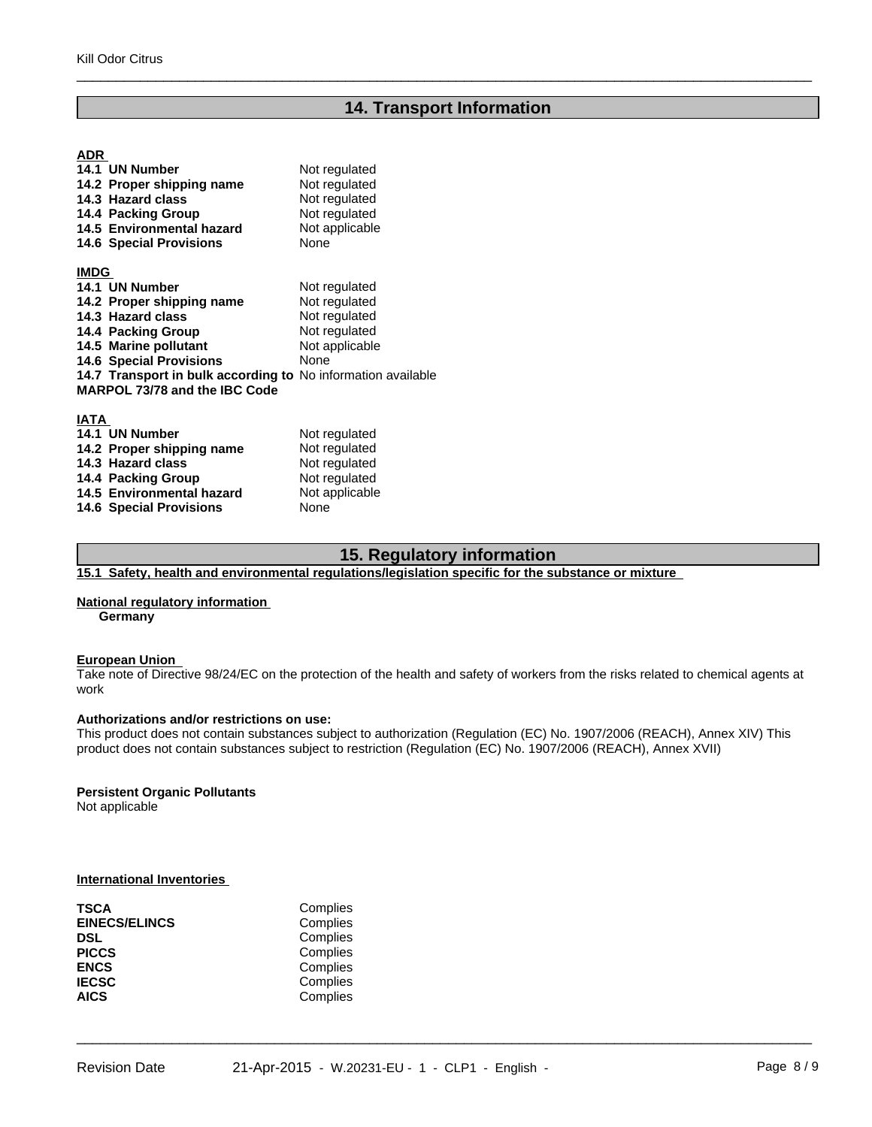# **14. Transport Information**

 $\overline{\phantom{a}}$  ,  $\overline{\phantom{a}}$  ,  $\overline{\phantom{a}}$  ,  $\overline{\phantom{a}}$  ,  $\overline{\phantom{a}}$  ,  $\overline{\phantom{a}}$  ,  $\overline{\phantom{a}}$  ,  $\overline{\phantom{a}}$  ,  $\overline{\phantom{a}}$  ,  $\overline{\phantom{a}}$  ,  $\overline{\phantom{a}}$  ,  $\overline{\phantom{a}}$  ,  $\overline{\phantom{a}}$  ,  $\overline{\phantom{a}}$  ,  $\overline{\phantom{a}}$  ,  $\overline{\phantom{a}}$ 

#### **ADR**

| 14.1 UN Number                                               | Not regulated  |
|--------------------------------------------------------------|----------------|
| 14.2 Proper shipping name                                    | Not regulated  |
| 14.3 Hazard class                                            | Not regulated  |
| 14.4 Packing Group                                           | Not regulated  |
| 14.5 Environmental hazard                                    | Not applicable |
| <b>14.6 Special Provisions</b>                               | None           |
| <b>IMDG</b>                                                  |                |
| 14.1 UN Number                                               | Not regulated  |
| 14.2 Proper shipping name                                    | Not regulated  |
| 14.3 Hazard class                                            | Not regulated  |
| 14.4 Packing Group                                           | Not regulated  |
| 14.5 Marine pollutant                                        | Not applicable |
| <b>14.6 Special Provisions</b>                               | None           |
| 14.7 Transport in bulk according to No information available |                |
| MARPOL 73/78 and the IBC Code                                |                |
| <b>IATA</b>                                                  |                |
| 14.1 UN Number                                               | Not regulated  |
| 14.2 Proper shipping name                                    | Not regulated  |
| 14.3 Hazard class                                            | Not regulated  |
| 14.4 Packing Group                                           | Not regulated  |
| 14.5 Environmental hazard                                    | Not applicable |

# **15. Regulatory information**

**15.1 Safety, health and environmental regulations/legislation specific for the substance or mixture** 

#### **National regulatory information**

**14.6 Special Provisions** 

**Germany**

#### **European Union**

Take note of Directive 98/24/EC on the protection of the health and safety of workers from the risks related to chemical agents at work **work** and the second second second second second second second second second second second second second second second second second second second second second second second second second second second second second

#### **Authorizations and/or restrictions on use:**

**14.5 Environmental hazard** Not applicable 14.6 Special Provisions

This product does not contain substances subject to authorization (Regulation (EC) No. 1907/2006 (REACH), Annex XIV) This product does not contain substances subject to restriction (Regulation (EC) No. 1907/2006 (REACH), Annex XVII)

 $\overline{\phantom{a}}$  ,  $\overline{\phantom{a}}$  ,  $\overline{\phantom{a}}$  ,  $\overline{\phantom{a}}$  ,  $\overline{\phantom{a}}$  ,  $\overline{\phantom{a}}$  ,  $\overline{\phantom{a}}$  ,  $\overline{\phantom{a}}$  ,  $\overline{\phantom{a}}$  ,  $\overline{\phantom{a}}$  ,  $\overline{\phantom{a}}$  ,  $\overline{\phantom{a}}$  ,  $\overline{\phantom{a}}$  ,  $\overline{\phantom{a}}$  ,  $\overline{\phantom{a}}$  ,  $\overline{\phantom{a}}$ 

#### **Persistent Organic Pollutants**

Not applicable

#### **International Inventories**

| TSCA                 | Complies |  |
|----------------------|----------|--|
| <b>EINECS/ELINCS</b> | Complies |  |
| DSL                  | Complies |  |
| <b>PICCS</b>         | Complies |  |
| ENCS                 | Complies |  |
| <b>IECSC</b>         | Complies |  |
| AICS                 | Complies |  |
|                      |          |  |